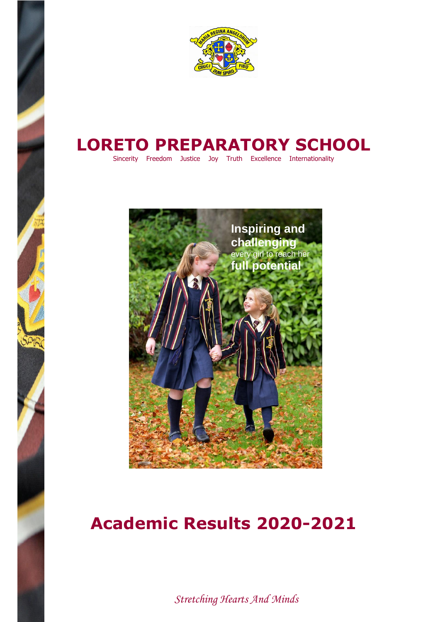

## **LORETO PREPARATORY SCHOOL**

Sincerity Freedom Justice Joy Truth Excellence Internationality



## **Academic Results 2020-2021**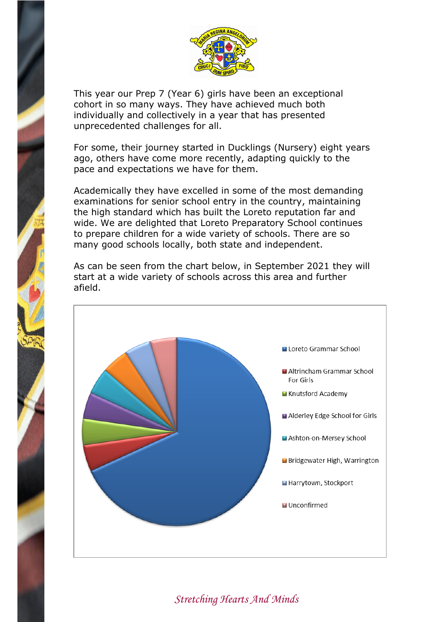

This year our Prep 7 (Year 6) girls have been an exceptional cohort in so many ways. They have achieved much both individually and collectively in a year that has presented unprecedented challenges for all.

For some, their journey started in Ducklings (Nursery) eight years ago, others have come more recently, adapting quickly to the pace and expectations we have for them.

Academically they have excelled in some of the most demanding examinations for senior school entry in the country, maintaining the high standard which has built the Loreto reputation far and wide. We are delighted that Loreto Preparatory School continues to prepare children for a wide variety of schools. There are so many good schools locally, both state and independent.

As can be seen from the chart below, in September 2021 they will start at a wide variety of schools across this area and further afield.

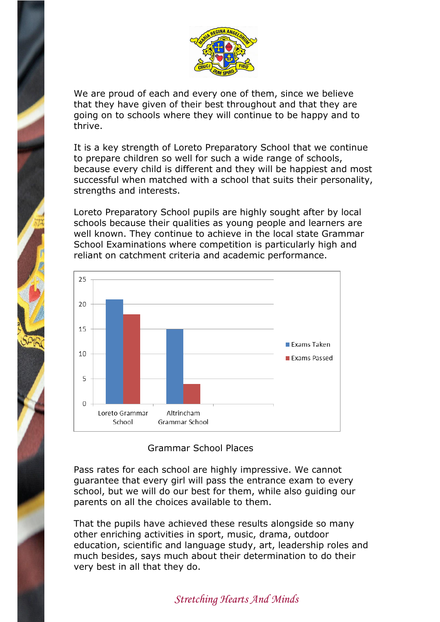

We are proud of each and every one of them, since we believe that they have given of their best throughout and that they are going on to schools where they will continue to be happy and to thrive.

It is a key strength of Loreto Preparatory School that we continue to prepare children so well for such a wide range of schools, because every child is different and they will be happiest and most successful when matched with a school that suits their personality, strengths and interests.

Loreto Preparatory School pupils are highly sought after by local schools because their qualities as young people and learners are well known. They continue to achieve in the local state Grammar School Examinations where competition is particularly high and reliant on catchment criteria and academic performance.



## Grammar School Places

Pass rates for each school are highly impressive. We cannot guarantee that every girl will pass the entrance exam to every school, but we will do our best for them, while also guiding our parents on all the choices available to them.

That the pupils have achieved these results alongside so many other enriching activities in sport, music, drama, outdoor education, scientific and language study, art, leadership roles and much besides, says much about their determination to do their very best in all that they do.